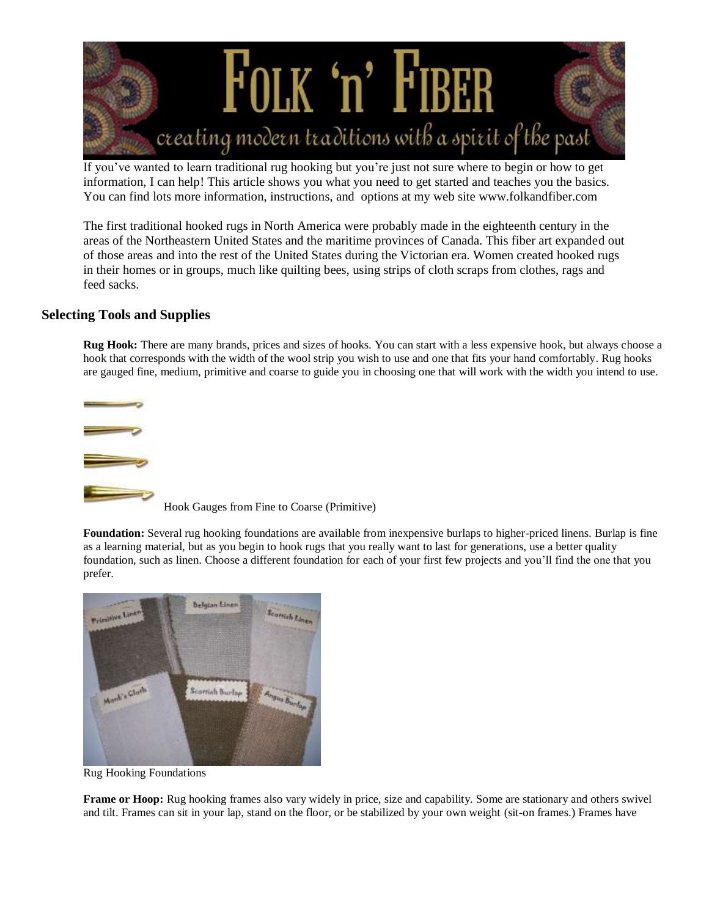

If you've wanted to learn traditional rug hooking but you're just not sure where to begin or how to get information, I can help! This article shows you what you need to get started and teaches you the basics. You can find lots more information, instructions, and options at my web site www.folkandfiber.com

The first traditional hooked rugs in North America were probably made in the eighteenth century in the areas of the Northeastern United States and the maritime provinces of Canada. This fiber art expanded out of those areas and into the rest of the United States during the Victorian era. Women created hooked rugs in their homes or in groups, much like quilting bees, using strips of cloth scraps from clothes, rags and feed sacks.

## **Selecting Tools and Supplies**

**Rug Hook:** There are many brands, prices and sizes of hooks. You can start with a less expensive hook, but always choose a hook that corresponds with the width of the wool strip you wish to use and one that fits your hand comfortably. Rug hooks are gauged fine, medium, primitive and coarse to guide you in choosing one that will work with the width you intend to use.



**Foundation:** Several rug hooking foundations are available from inexpensive burlaps to higher-priced linens. Burlap is fine as a learning material, but as you begin to hook rugs that you really want to last for generations, use a better quality foundation, such as linen. Choose a different foundation for each of your first few projects and you'll find the one that you prefer.



Rug Hooking Foundations

**Frame or Hoop:** Rug hooking frames also vary widely in price, size and capability. Some are stationary and others swivel and tilt. Frames can sit in your lap, stand on the floor, or be stabilized by your own weight (sit-on frames.) Frames have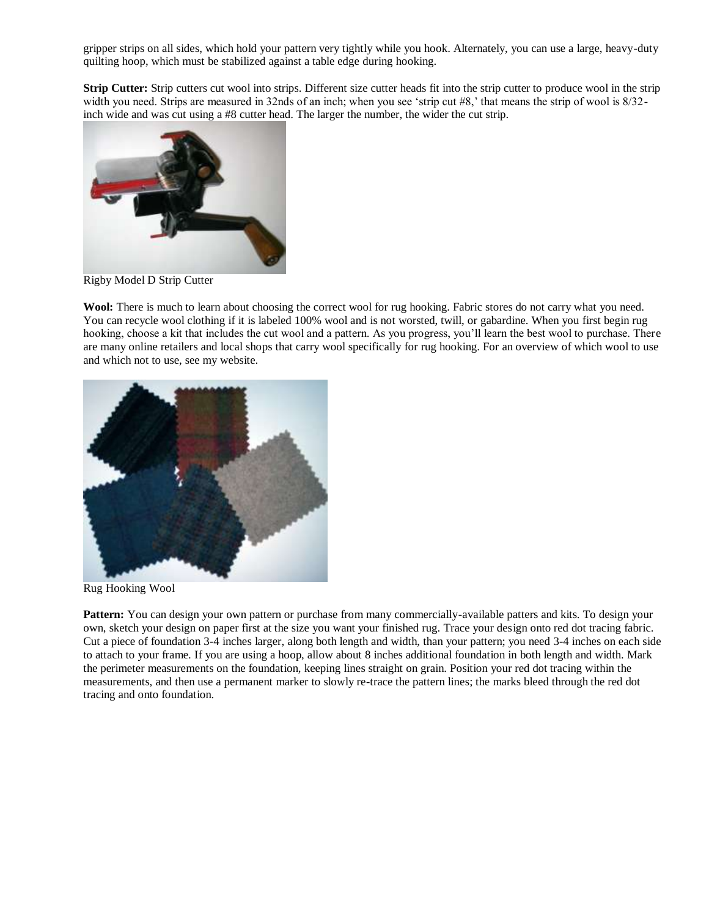gripper strips on all sides, which hold your pattern very tightly while you hook. Alternately, you can use a large, heavy-duty quilting hoop, which must be stabilized against a table edge during hooking.

**Strip Cutter:** Strip cutters cut wool into strips. Different size cutter heads fit into the strip cutter to produce wool in the strip width you need. Strips are measured in 32nds of an inch; when you see 'strip cut #8,' that means the strip of wool is  $8/32$ inch wide and was cut using a #8 cutter head. The larger the number, the wider the cut strip.



Rigby Model D Strip Cutter

**Wool:** There is much to learn about choosing the correct wool for rug hooking. Fabric stores do not carry what you need. You can recycle wool clothing if it is labeled 100% wool and is not worsted, twill, or gabardine. When you first begin rug hooking, choose a kit that includes the cut wool and a pattern. As you progress, you'll learn the best wool to purchase. There are many online retailers and local shops that carry wool specifically for rug hooking. For an overview of which wool to use and which not to use, see my website.



Rug Hooking Wool

**Pattern:** You can design your own pattern or purchase from many commercially-available patters and kits. To design your own, sketch your design on paper first at the size you want your finished rug. Trace your design onto red dot tracing fabric. Cut a piece of foundation 3-4 inches larger, along both length and width, than your pattern; you need 3-4 inches on each side to attach to your frame. If you are using a hoop, allow about 8 inches additional foundation in both length and width. Mark the perimeter measurements on the foundation, keeping lines straight on grain. Position your red dot tracing within the measurements, and then use a permanent marker to slowly re-trace the pattern lines; the marks bleed through the red dot tracing and onto foundation.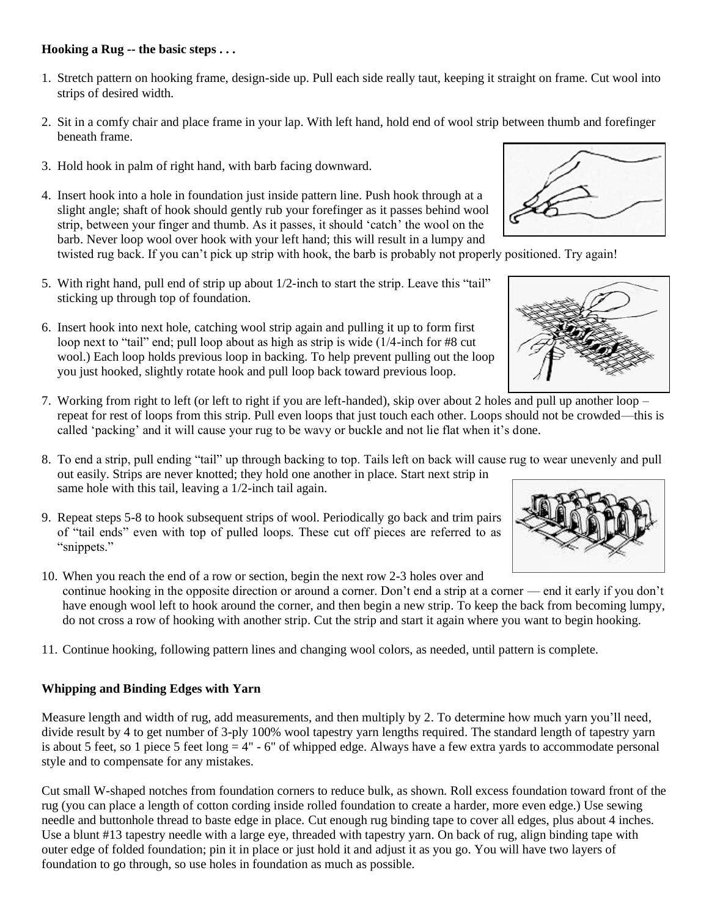## **Hooking a Rug -- the basic steps . . .**

- 1. Stretch pattern on hooking frame, design-side up. Pull each side really taut, keeping it straight on frame. Cut wool into strips of desired width.
- 2. Sit in a comfy chair and place frame in your lap. With left hand, hold end of wool strip between thumb and forefinger beneath frame.
- 3. Hold hook in palm of right hand, with barb facing downward.
- 4. Insert hook into a hole in foundation just inside pattern line. Push hook through at a slight angle; shaft of hook should gently rub your forefinger as it passes behind wool strip, between your finger and thumb. As it passes, it should 'catch' the wool on the barb. Never loop wool over hook with your left hand; this will result in a lumpy and

twisted rug back. If you can't pick up strip with hook, the barb is probably not properly positioned. Try again!

- 5. With right hand, pull end of strip up about 1/2-inch to start the strip. Leave this "tail" sticking up through top of foundation.
- 6. Insert hook into next hole, catching wool strip again and pulling it up to form first loop next to "tail" end; pull loop about as high as strip is wide (1/4-inch for #8 cut wool.) Each loop holds previous loop in backing. To help prevent pulling out the loop you just hooked, slightly rotate hook and pull loop back toward previous loop.

7. Working from right to left (or left to right if you are left-handed), skip over about 2 holes and pull up another loop – repeat for rest of loops from this strip. Pull even loops that just touch each other. Loops should not be crowded—this is called 'packing' and it will cause your rug to be wavy or buckle and not lie flat when it's done.

- 8. To end a strip, pull ending "tail" up through backing to top. Tails left on back will cause rug to wear unevenly and pull out easily. Strips are never knotted; they hold one another in place. Start next strip in same hole with this tail, leaving a 1/2-inch tail again.
- 9. Repeat steps 5-8 to hook subsequent strips of wool. Periodically go back and trim pairs of "tail ends" even with top of pulled loops. These cut off pieces are referred to as "snippets."

10. When you reach the end of a row or section, begin the next row 2-3 holes over and continue hooking in the opposite direction or around a corner. Don't end a strip at a corner — end it early if you don't have enough wool left to hook around the corner, and then begin a new strip. To keep the back from becoming lumpy, do not cross a row of hooking with another strip. Cut the strip and start it again where you want to begin hooking.

11. Continue hooking, following pattern lines and changing wool colors, as needed, until pattern is complete.

## **Whipping and Binding Edges with Yarn**

Measure length and width of rug, add measurements, and then multiply by 2. To determine how much yarn you'll need, divide result by 4 to get number of 3-ply 100% wool tapestry yarn lengths required. The standard length of tapestry yarn is about 5 feet, so 1 piece 5 feet long  $= 4" - 6"$  of whipped edge. Always have a few extra yards to accommodate personal style and to compensate for any mistakes.

Cut small W-shaped notches from foundation corners to reduce bulk, as shown. Roll excess foundation toward front of the rug (you can place a length of cotton cording inside rolled foundation to create a harder, more even edge.) Use sewing needle and buttonhole thread to baste edge in place. Cut enough rug binding tape to cover all edges, plus about 4 inches. Use a blunt #13 tapestry needle with a large eye, threaded with tapestry yarn. On back of rug, align binding tape with outer edge of folded foundation; pin it in place or just hold it and adjust it as you go. You will have two layers of foundation to go through, so use holes in foundation as much as possible.